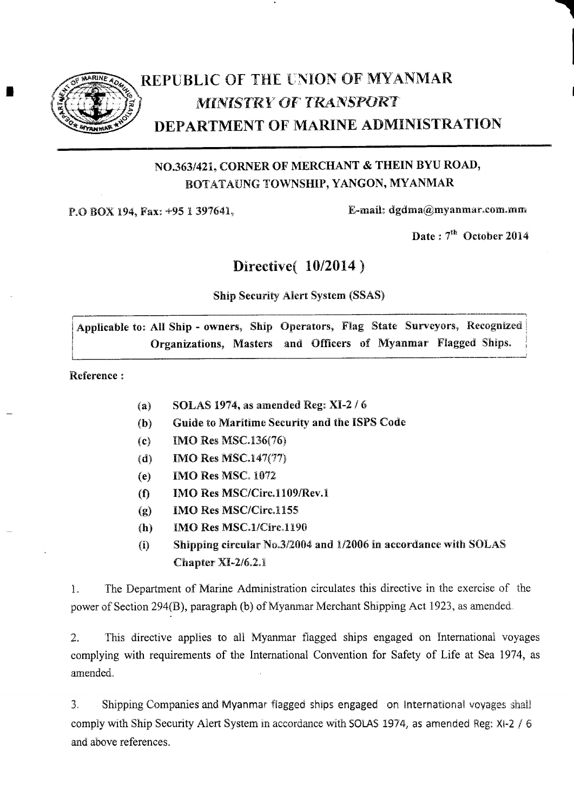

I

# REPUBLIC OF THE UNION OF MYANMAR **MINISTRY OF TRANSPORT** DEPARTMENT OF MARINE ADMINISTRATION

#### NO.363/421, CORNER OF MERCHANT & THEIN BYU ROAD, BOTATAUNG TOWNSHIP, YANGON, MYANMAR

P.O BOX 194, Fax: +95 1 397641,

E-mail:  $d$ gdma $@$ myanmar.com.mm

Date:  $7<sup>th</sup>$  October 2014

#### Directive( 10/2014)

#### Ship Seeurity Alert System (SSAS)

Applicable to: All Ship - owners, Ship Operators, Flag State Surveyors, Recognized Organizations, Masters and Officers of Myanmar Flagged Ships.

Reference :

- (a) SOLAS 1974, as amended Reg:  $XI-2/6$
- (b) Guide to Maritime Security and the ISPS Code
- (c) IIMO Res NISC.136(76)
- (d) IMO Res MSC.147(77)
- (e) IMO Res MSC. 1072
- $(1)$  IMO Res MSC/Circ.1109/Rev.1
- $(g)$  IMO Res MSC/Circ.1155
- $(h)$  IMO Res MSC.1/Circ.1190
- (i) Shipping circular  $\text{No.3/2004}$  and 1/2006 in accordance with SOLAS  $Chapter XI-2/6.2.1$

1. The Department of Marine Administration circulates this directive in the exercise of the power of Section 294(B), paragraph (b) of Myanmar Merchant Shipping Act 1923, as amended.

2. This directive applies to all Myanmar flagged ships engaged on International voyages complying with requirements of the International Convention for Safety of Life at Sea 1974, as amended.

3. Shipping Companies and Myanmar flagged ships engaged on International voyages shall comply with Ship Security Alert System in accordance with SOLAS 1974, as amended Reg: XI-2 / 6 and above references.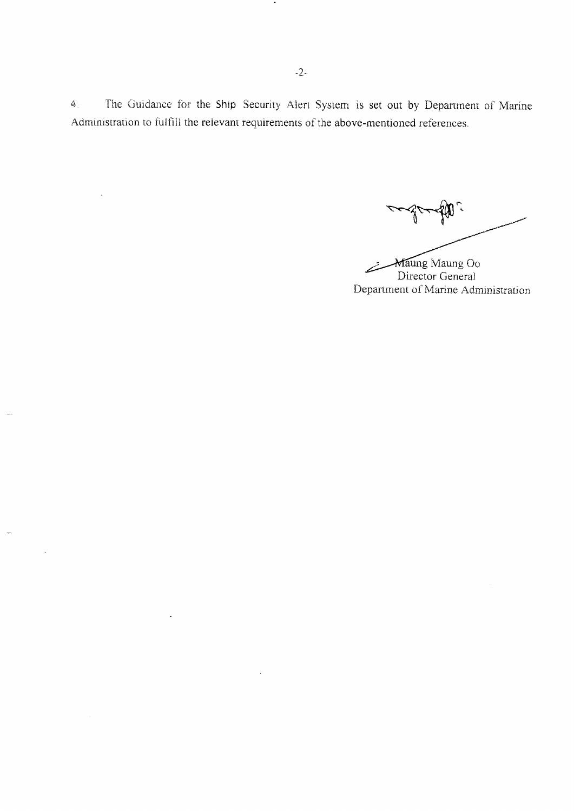4. The Guidance for the Ship Security Alert System is set out by Department of Marine Administration to fulfill the relevant requirements of the above-mentioned references.

Department of Marine Administration ung Maung Oo Director General

 $\bullet$ 

 $\sim$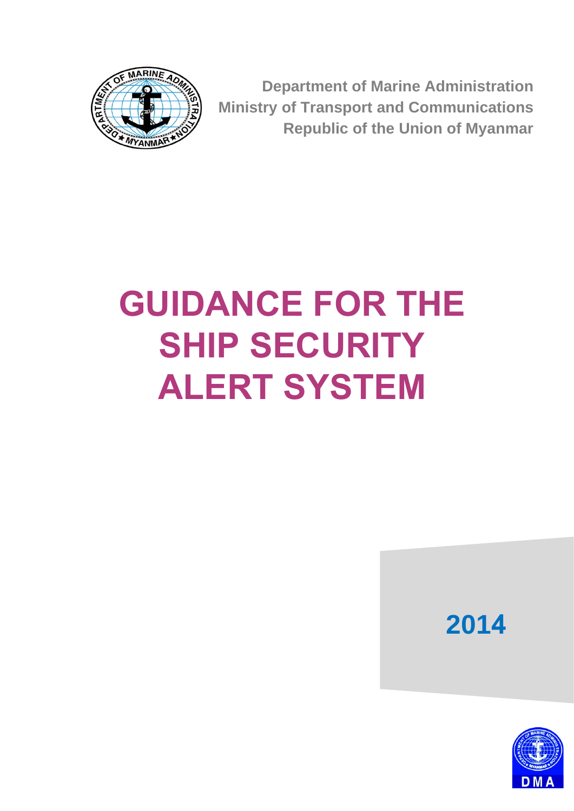

**Department of Marine Administration Ministry of Transport and Communications Republic of the Union of Myanmar**

# **GUIDANCE FOR THE SHIP SECURITY ALERT SYSTEM**

**2014**

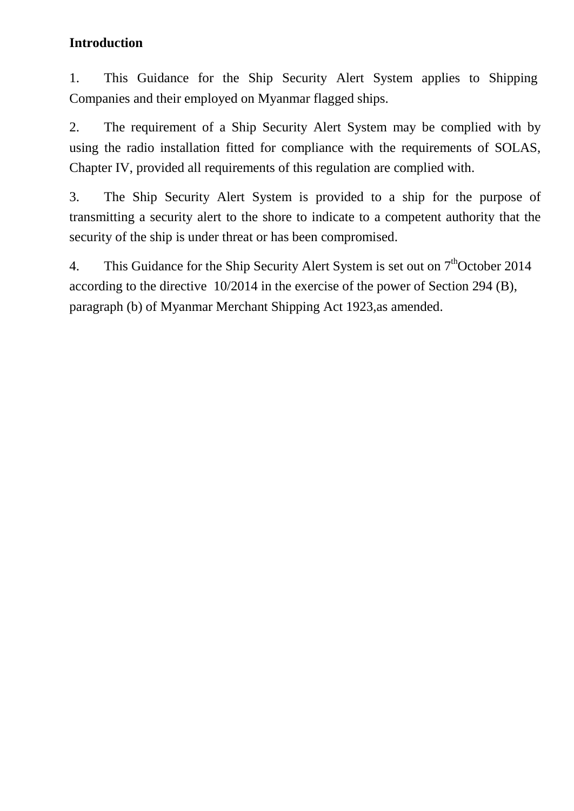#### **Introduction**

1. This Guidance for the Ship Security Alert System applies to Shipping Companies and their employed on Myanmar flagged ships.

2. The requirement of a Ship Security Alert System may be complied with by using the radio installation fitted for compliance with the requirements of SOLAS, Chapter IV, provided all requirements of this regulation are complied with.

3. The Ship Security Alert System is provided to a ship for the purpose of transmitting a security alert to the shore to indicate to a competent authority that the security of the ship is under threat or has been compromised.

4. This Guidance for the Ship Security Alert System is set out on  $7<sup>th</sup>$ October 2014 according to the directive 10/2014 in the exercise of the power of Section 294 (B), paragraph (b) of Myanmar Merchant Shipping Act 1923,as amended.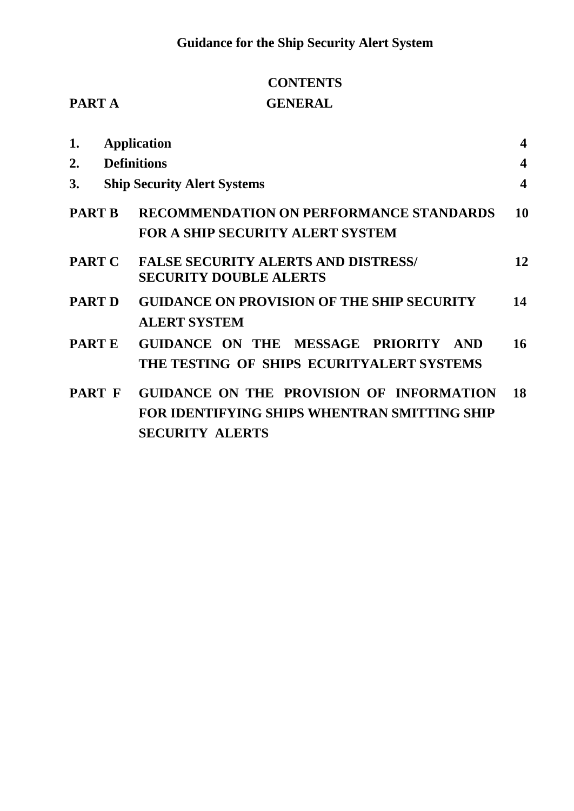# **CONTENTS PART A** GENERAL

| <b>GENERAL</b> |  |  |
|----------------|--|--|

| 1.            |                    | <b>Application</b>                                                                                                        | $\overline{\mathbf{4}}$ |
|---------------|--------------------|---------------------------------------------------------------------------------------------------------------------------|-------------------------|
| 2.            | <b>Definitions</b> |                                                                                                                           |                         |
| 3.            |                    | <b>Ship Security Alert Systems</b>                                                                                        | $\overline{\mathbf{4}}$ |
| <b>PART B</b> |                    | <b>RECOMMENDATION ON PERFORMANCE STANDARDS</b><br><b>FOR A SHIP SECURITY ALERT SYSTEM</b>                                 | 10                      |
| <b>PART C</b> |                    | <b>FALSE SECURITY ALERTS AND DISTRESS/</b><br><b>SECURITY DOUBLE ALERTS</b>                                               | 12                      |
| <b>PART D</b> |                    | <b>GUIDANCE ON PROVISION OF THE SHIP SECURITY</b><br><b>ALERT SYSTEM</b>                                                  | 14                      |
| <b>PARTE</b>  |                    | GUIDANCE ON THE MESSAGE PRIORITY AND<br>THE TESTING OF SHIPS ECURITYALERT SYSTEMS                                         | 16                      |
| <b>PART F</b> |                    | GUIDANCE ON THE PROVISION OF INFORMATION<br><b>FOR IDENTIFYING SHIPS WHENTRAN SMITTING SHIP</b><br><b>SECURITY ALERTS</b> | 18                      |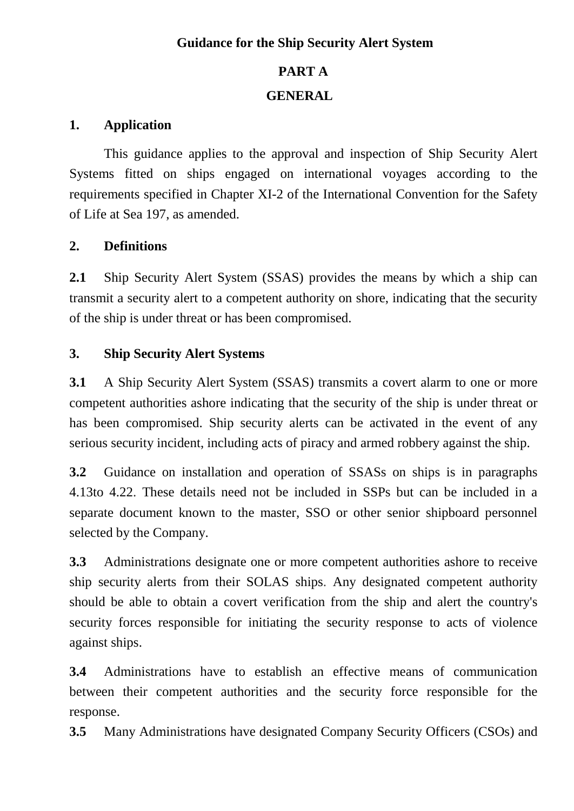#### **Guidance for the Ship Security Alert System**

#### **PART A**

#### **GENERAL**

#### **1. Application**

This guidance applies to the approval and inspection of Ship Security Alert Systems fitted on ships engaged on international voyages according to the requirements specified in Chapter XI-2 of the International Convention for the Safety of Life at Sea 197, as amended.

#### **2. Definitions**

**2.1** Ship Security Alert System (SSAS) provides the means by which a ship can transmit a security alert to a competent authority on shore, indicating that the security of the ship is under threat or has been compromised.

#### **3. Ship Security Alert Systems**

**3.1** A Ship Security Alert System (SSAS) transmits a covert alarm to one or more competent authorities ashore indicating that the security of the ship is under threat or has been compromised. Ship security alerts can be activated in the event of any serious security incident, including acts of piracy and armed robbery against the ship.

**3.2** Guidance on installation and operation of SSASs on ships is in paragraphs 4.13to 4.22. These details need not be included in SSPs but can be included in a separate document known to the master, SSO or other senior shipboard personnel selected by the Company.

**3.3** Administrations designate one or more competent authorities ashore to receive ship security alerts from their SOLAS ships. Any designated competent authority should be able to obtain a covert verification from the ship and alert the country's security forces responsible for initiating the security response to acts of violence against ships.

**3.4** Administrations have to establish an effective means of communication between their competent authorities and the security force responsible for the response.

**3.5** Many Administrations have designated Company Security Officers (CSOs) and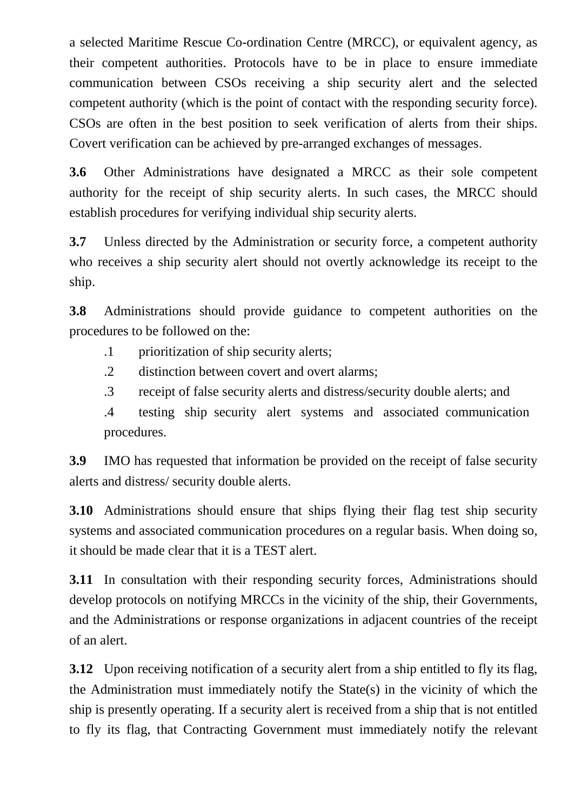a selected Maritime Rescue Co-ordination Centre (MRCC), or equivalent agency, as their competent authorities. Protocols have to be in place to ensure immediate communication between CSOs receiving a ship security alert and the selected competent authority (which is the point of contact with the responding security force). CSOs are often in the best position to seek verification of alerts from their ships. Covert verification can be achieved by pre-arranged exchanges of messages.

**3.6** Other Administrations have designated a MRCC as their sole competent authority for the receipt of ship security alerts. In such cases, the MRCC should establish procedures for verifying individual ship security alerts.

**3.7** Unless directed by the Administration or security force, a competent authority who receives a ship security alert should not overtly acknowledge its receipt to the ship.

**3.8** Administrations should provide guidance to competent authorities on the procedures to be followed on the:

- .1 prioritization of ship security alerts;
- .2 distinction between covert and overt alarms;
- .3 receipt of false security alerts and distress/security double alerts; and

.4 testing ship security alert systems and associated communication procedures.

**3.9** IMO has requested that information be provided on the receipt of false security alerts and distress/ security double alerts.

**3.10** Administrations should ensure that ships flying their flag test ship security systems and associated communication procedures on a regular basis. When doing so, it should be made clear that it is a TEST alert.

**3.11** In consultation with their responding security forces, Administrations should develop protocols on notifying MRCCs in the vicinity of the ship, their Governments, and the Administrations or response organizations in adjacent countries of the receipt of an alert.

**3.12** Upon receiving notification of a security alert from a ship entitled to fly its flag, the Administration must immediately notify the State(s) in the vicinity of which the ship is presently operating. If a security alert is received from a ship that is not entitled to fly its flag, that Contracting Government must immediately notify the relevant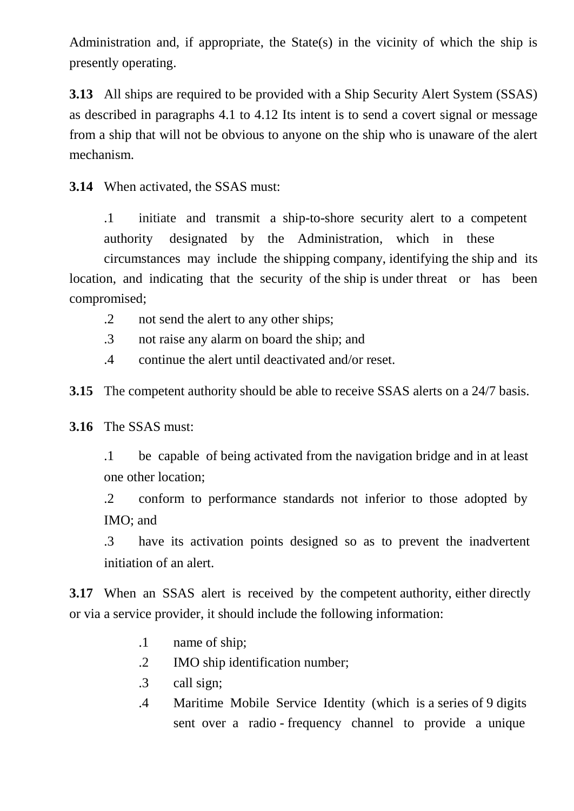Administration and, if appropriate, the State(s) in the vicinity of which the ship is presently operating.

**3.13** All ships are required to be provided with a Ship Security Alert System (SSAS) as described in paragraphs 4.1 to 4.12 Its intent is to send a covert signal or message from a ship that will not be obvious to anyone on the ship who is unaware of the alert mechanism.

**3.14** When activated, the SSAS must:

.1 initiate and transmit a ship-to-shore security alert to a competent authority designated by the Administration, which in these circumstances may include the shipping company, identifying the ship and its location, and indicating that the security of the ship is under threat or has been compromised;

- .2 not send the alert to any other ships;
- .3 not raise any alarm on board the ship; and
- .4 continue the alert until deactivated and/or reset.

**3.15** The competent authority should be able to receive SSAS alerts on a 24/7 basis.

**3.16** The SSAS must:

.1 be capable of being activated from the navigation bridge and in at least one other location;

.2 conform to performance standards not inferior to those adopted by IMO; and

.3 have its activation points designed so as to prevent the inadvertent initiation of an alert.

**3.17** When an SSAS alert is received by the competent authority, either directly or via a service provider, it should include the following information:

- .1 name of ship;
- .2 IMO ship identification number;
- .3 call sign;
- .4 Maritime Mobile Service Identity (which is a series of 9 digits sent over a radio - frequency channel to provide a unique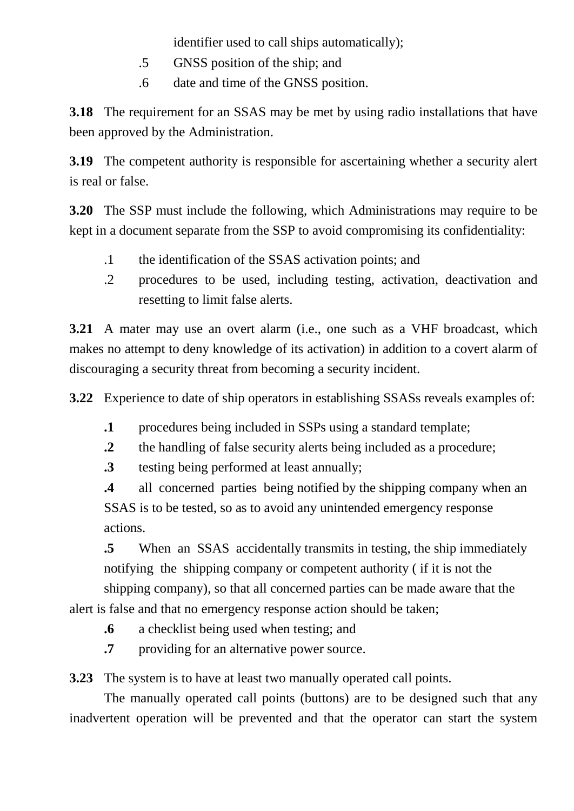identifier used to call ships automatically);

- .5 GNSS position of the ship; and
- .6 date and time of the GNSS position.

**3.18** The requirement for an SSAS may be met by using radio installations that have been approved by the Administration.

**3.19** The competent authority is responsible for ascertaining whether a security alert is real or false.

**3.20** The SSP must include the following, which Administrations may require to be kept in a document separate from the SSP to avoid compromising its confidentiality:

- .1 the identification of the SSAS activation points; and
- .2 procedures to be used, including testing, activation, deactivation and resetting to limit false alerts.

**3.21** A mater may use an overt alarm (i.e., one such as a VHF broadcast, which makes no attempt to deny knowledge of its activation) in addition to a covert alarm of discouraging a security threat from becoming a security incident.

**3.22** Experience to date of ship operators in establishing SSASs reveals examples of:

- **.1** procedures being included in SSPs using a standard template;
- **.2** the handling of false security alerts being included as a procedure;
- **.3** testing being performed at least annually;

**.4** all concerned parties being notified by the shipping company when an SSAS is to be tested, so as to avoid any unintended emergency response actions.

 **.5** When an SSAS accidentally transmits in testing, the ship immediately notifying the shipping company or competent authority ( if it is not the shipping company), so that all concerned parties can be made aware that the

alert is false and that no emergency response action should be taken;

- **.6** a checklist being used when testing; and
- **.7** providing for an alternative power source.

**3.23** The system is to have at least two manually operated call points.

The manually operated call points (buttons) are to be designed such that any inadvertent operation will be prevented and that the operator can start the system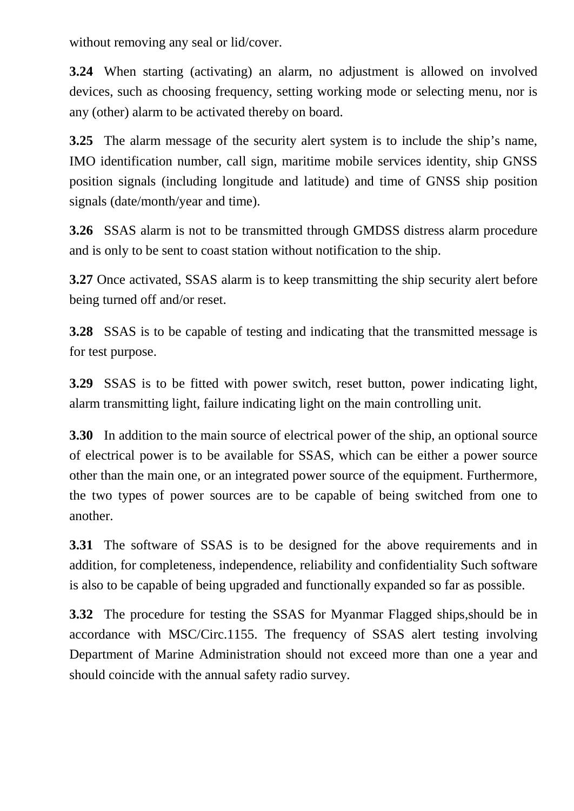without removing any seal or lid/cover.

**3.24** When starting (activating) an alarm, no adjustment is allowed on involved devices, such as choosing frequency, setting working mode or selecting menu, nor is any (other) alarm to be activated thereby on board.

**3.25** The alarm message of the security alert system is to include the ship's name, IMO identification number, call sign, maritime mobile services identity, ship GNSS position signals (including longitude and latitude) and time of GNSS ship position signals (date/month/year and time).

**3.26** SSAS alarm is not to be transmitted through GMDSS distress alarm procedure and is only to be sent to coast station without notification to the ship.

**3.27** Once activated, SSAS alarm is to keep transmitting the ship security alert before being turned off and/or reset.

**3.28** SSAS is to be capable of testing and indicating that the transmitted message is for test purpose.

**3.29** SSAS is to be fitted with power switch, reset button, power indicating light, alarm transmitting light, failure indicating light on the main controlling unit.

**3.30** In addition to the main source of electrical power of the ship, an optional source of electrical power is to be available for SSAS, which can be either a power source other than the main one, or an integrated power source of the equipment. Furthermore, the two types of power sources are to be capable of being switched from one to another.

**3.31** The software of SSAS is to be designed for the above requirements and in addition, for completeness, independence, reliability and confidentiality Such software is also to be capable of being upgraded and functionally expanded so far as possible.

**3.32** The procedure for testing the SSAS for Myanmar Flagged ships,should be in accordance with MSC/Circ.1155. The frequency of SSAS alert testing involving Department of Marine Administration should not exceed more than one a year and should coincide with the annual safety radio survey.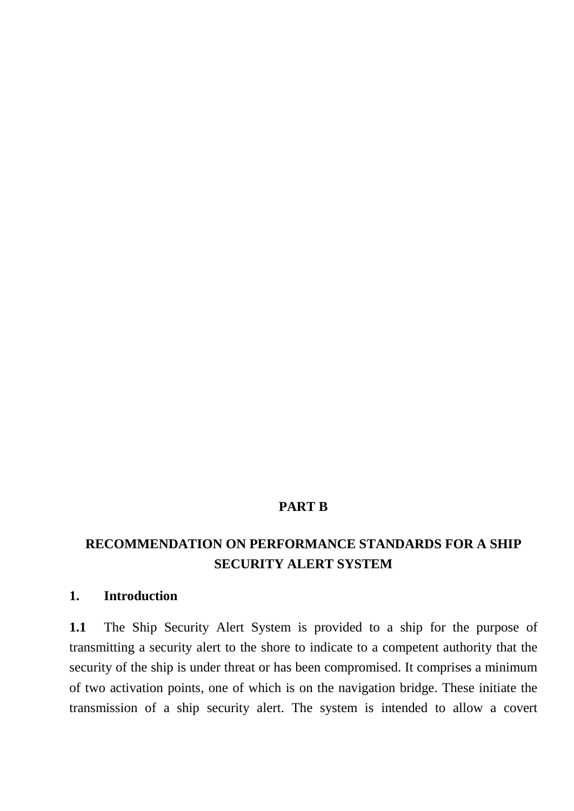#### **PART B**

### **RECOMMENDATION ON PERFORMANCE STANDARDS FOR A SHIP SECURITY ALERT SYSTEM**

#### **1. Introduction**

**1.1** The Ship Security Alert System is provided to a ship for the purpose of transmitting a security alert to the shore to indicate to a competent authority that the security of the ship is under threat or has been compromised. It comprises a minimum of two activation points, one of which is on the navigation bridge. These initiate the transmission of a ship security alert. The system is intended to allow a covert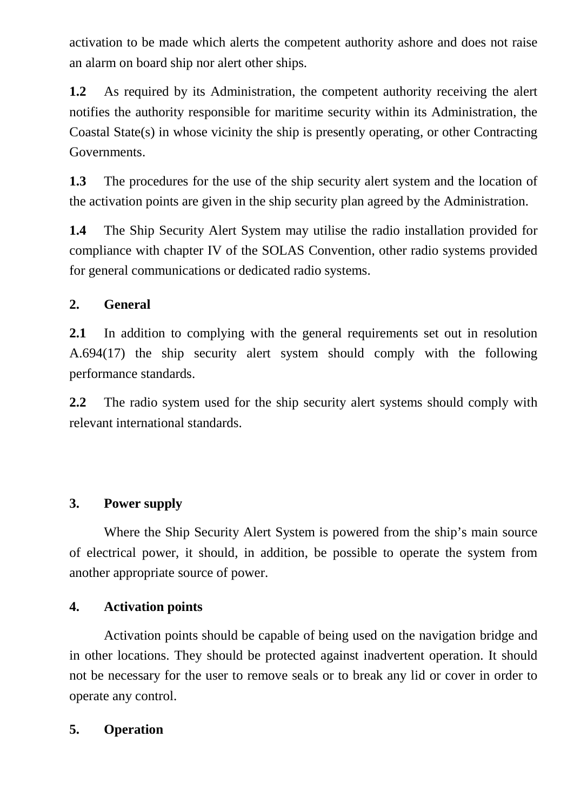activation to be made which alerts the competent authority ashore and does not raise an alarm on board ship nor alert other ships.

**1.2** As required by its Administration, the competent authority receiving the alert notifies the authority responsible for maritime security within its Administration, the Coastal State(s) in whose vicinity the ship is presently operating, or other Contracting Governments.

**1.3** The procedures for the use of the ship security alert system and the location of the activation points are given in the ship security plan agreed by the Administration.

**1.4** The Ship Security Alert System may utilise the radio installation provided for compliance with chapter IV of the SOLAS Convention, other radio systems provided for general communications or dedicated radio systems.

#### **2. General**

**2.1** In addition to complying with the general requirements set out in resolution A.694(17) the ship security alert system should comply with the following performance standards.

**2.2** The radio system used for the ship security alert systems should comply with relevant international standards.

#### **3. Power supply**

Where the Ship Security Alert System is powered from the ship's main source of electrical power, it should, in addition, be possible to operate the system from another appropriate source of power.

#### **4. Activation points**

Activation points should be capable of being used on the navigation bridge and in other locations. They should be protected against inadvertent operation. It should not be necessary for the user to remove seals or to break any lid or cover in order to operate any control.

#### **5. Operation**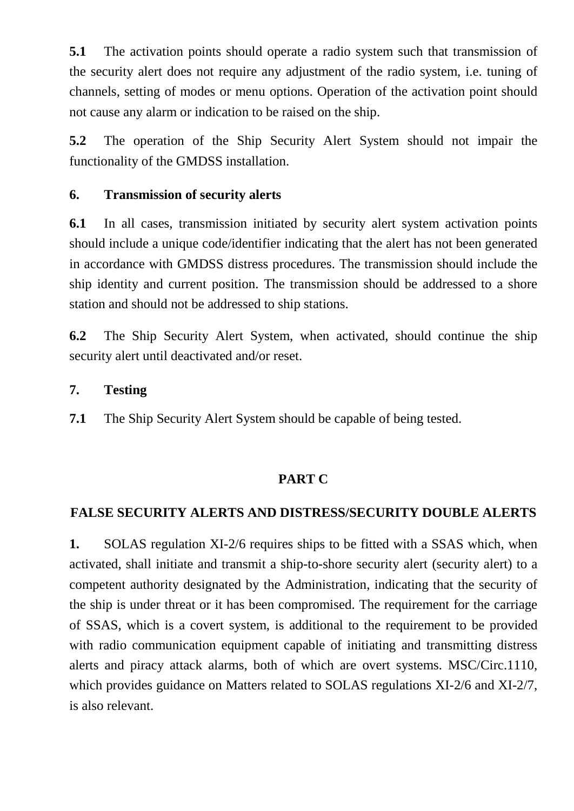**5.1** The activation points should operate a radio system such that transmission of the security alert does not require any adjustment of the radio system, i.e. tuning of channels, setting of modes or menu options. Operation of the activation point should not cause any alarm or indication to be raised on the ship.

**5.2** The operation of the Ship Security Alert System should not impair the functionality of the GMDSS installation.

#### **6. Transmission of security alerts**

**6.1** In all cases, transmission initiated by security alert system activation points should include a unique code/identifier indicating that the alert has not been generated in accordance with GMDSS distress procedures. The transmission should include the ship identity and current position. The transmission should be addressed to a shore station and should not be addressed to ship stations.

**6.2** The Ship Security Alert System, when activated, should continue the ship security alert until deactivated and/or reset.

#### **7. Testing**

**7.1** The Ship Security Alert System should be capable of being tested.

#### **PART C**

#### **FALSE SECURITY ALERTS AND DISTRESS/SECURITY DOUBLE ALERTS**

**1.** SOLAS regulation XI-2/6 requires ships to be fitted with a SSAS which, when activated, shall initiate and transmit a ship-to-shore security alert (security alert) to a competent authority designated by the Administration, indicating that the security of the ship is under threat or it has been compromised. The requirement for the carriage of SSAS, which is a covert system, is additional to the requirement to be provided with radio communication equipment capable of initiating and transmitting distress alerts and piracy attack alarms, both of which are overt systems. MSC/Circ.1110, which provides guidance on Matters related to SOLAS regulations XI-2/6 and XI-2/7, is also relevant.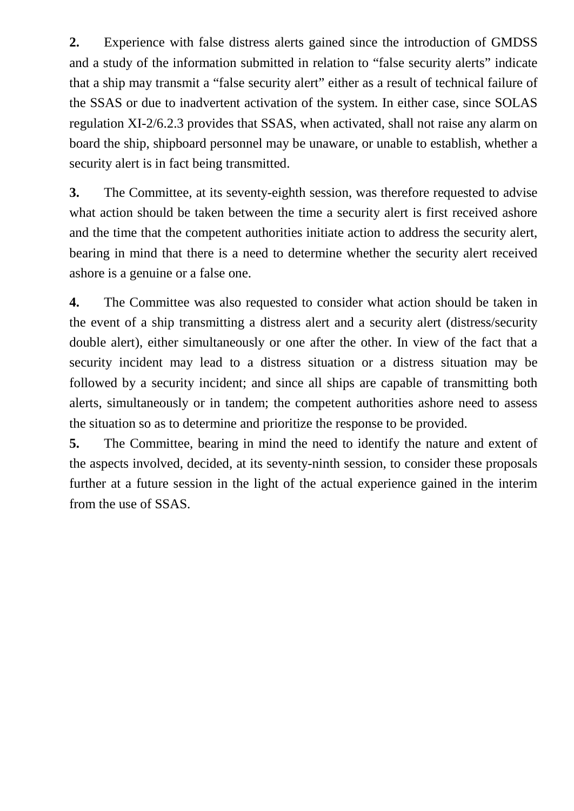**2.** Experience with false distress alerts gained since the introduction of GMDSS and a study of the information submitted in relation to "false security alerts" indicate that a ship may transmit a "false security alert" either as a result of technical failure of the SSAS or due to inadvertent activation of the system. In either case, since SOLAS regulation XI-2/6.2.3 provides that SSAS, when activated, shall not raise any alarm on board the ship, shipboard personnel may be unaware, or unable to establish, whether a security alert is in fact being transmitted.

**3.** The Committee, at its seventy-eighth session, was therefore requested to advise what action should be taken between the time a security alert is first received ashore and the time that the competent authorities initiate action to address the security alert, bearing in mind that there is a need to determine whether the security alert received ashore is a genuine or a false one.

**4.** The Committee was also requested to consider what action should be taken in the event of a ship transmitting a distress alert and a security alert (distress/security double alert), either simultaneously or one after the other. In view of the fact that a security incident may lead to a distress situation or a distress situation may be followed by a security incident; and since all ships are capable of transmitting both alerts, simultaneously or in tandem; the competent authorities ashore need to assess the situation so as to determine and prioritize the response to be provided.

**5.** The Committee, bearing in mind the need to identify the nature and extent of the aspects involved, decided, at its seventy-ninth session, to consider these proposals further at a future session in the light of the actual experience gained in the interim from the use of SSAS.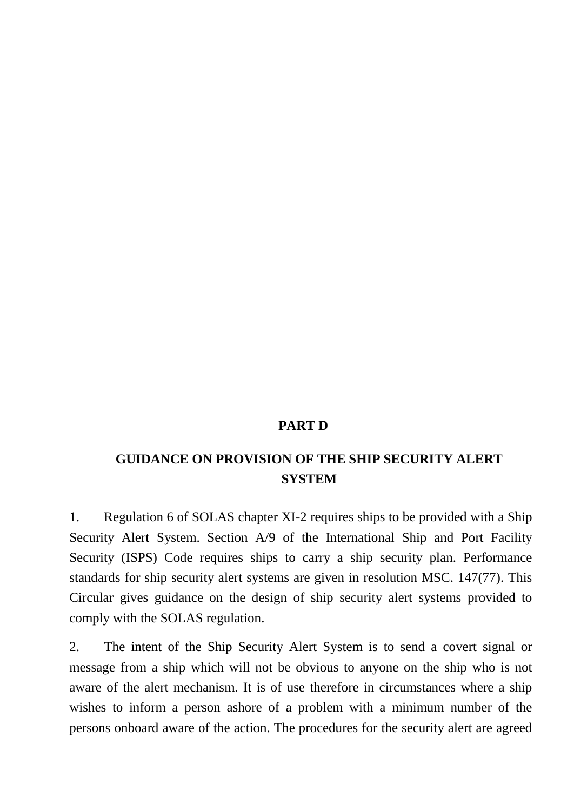#### **PART D**

#### **GUIDANCE ON PROVISION OF THE SHIP SECURITY ALERT SYSTEM**

1. Regulation 6 of SOLAS chapter XI-2 requires ships to be provided with a Ship Security Alert System. Section A/9 of the International Ship and Port Facility Security (ISPS) Code requires ships to carry a ship security plan. Performance standards for ship security alert systems are given in resolution MSC. 147(77). This Circular gives guidance on the design of ship security alert systems provided to comply with the SOLAS regulation.

2. The intent of the Ship Security Alert System is to send a covert signal or message from a ship which will not be obvious to anyone on the ship who is not aware of the alert mechanism. It is of use therefore in circumstances where a ship wishes to inform a person ashore of a problem with a minimum number of the persons onboard aware of the action. The procedures for the security alert are agreed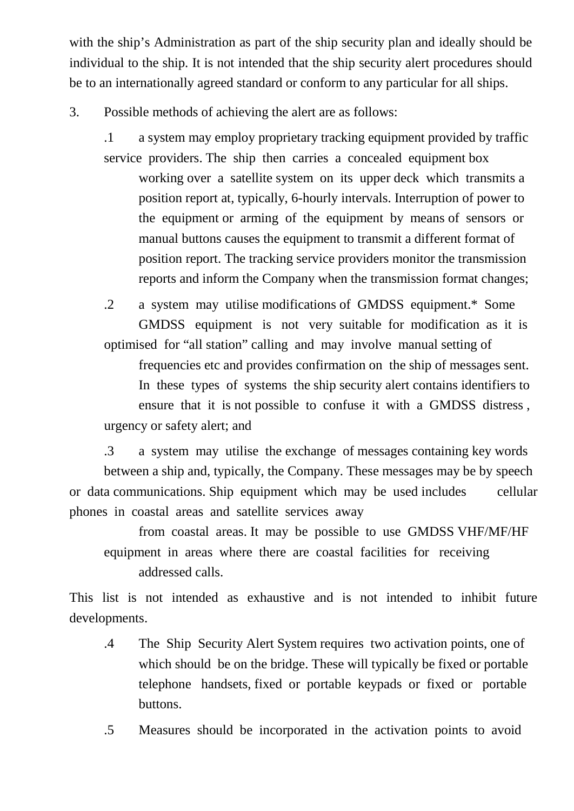with the ship's Administration as part of the ship security plan and ideally should be individual to the ship. It is not intended that the ship security alert procedures should be to an internationally agreed standard or conform to any particular for all ships.

3. Possible methods of achieving the alert are as follows:

.1 a system may employ proprietary tracking equipment provided by traffic service providers. The ship then carries a concealed equipment box

 working over a satellite system on its upper deck which transmits a position report at, typically, 6-hourly intervals. Interruption of power to the equipment or arming of the equipment by means of sensors or manual buttons causes the equipment to transmit a different format of position report. The tracking service providers monitor the transmission reports and inform the Company when the transmission format changes;

.2 a system may utilise modifications of GMDSS equipment.\* Some GMDSS equipment is not very suitable for modification as it is optimised for "all station" calling and may involve manual setting of

 frequencies etc and provides confirmation on the ship of messages sent. In these types of systems the ship security alert contains identifiers to ensure that it is not possible to confuse it with a GMDSS distress , urgency or safety alert; and

.3 a system may utilise the exchange of messages containing key words between a ship and, typically, the Company. These messages may be by speech or data communications. Ship equipment which may be used includes cellular phones in coastal areas and satellite services away

 from coastal areas. It may be possible to use GMDSS VHF/MF/HF equipment in areas where there are coastal facilities for receiving addressed calls.

This list is not intended as exhaustive and is not intended to inhibit future developments.

.4 The Ship Security Alert System requires two activation points, one of which should be on the bridge. These will typically be fixed or portable telephone handsets, fixed or portable keypads or fixed or portable buttons.

.5 Measures should be incorporated in the activation points to avoid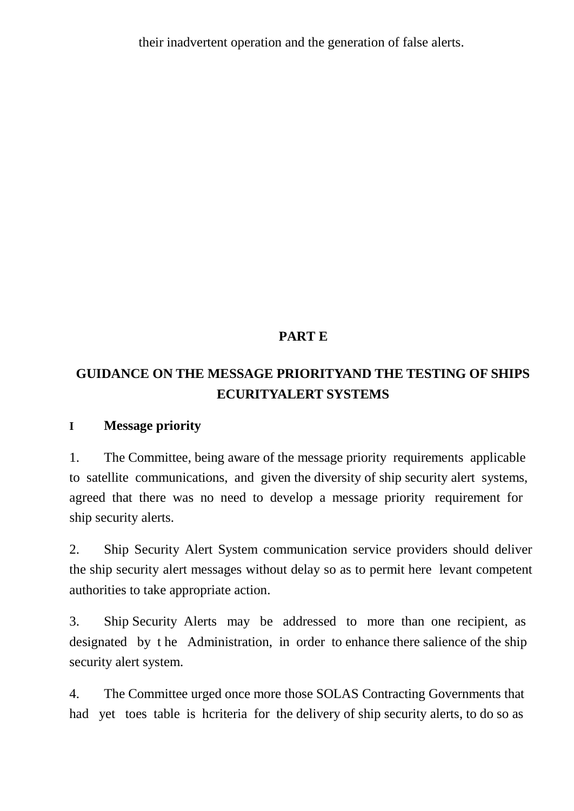their inadvertent operation and the generation of false alerts.

## **PART E**

# **GUIDANCE ON THE MESSAGE PRIORITYAND THE TESTING OF SHIPS ECURITYALERT SYSTEMS**

#### **I Message priority**

1. The Committee, being aware of the message priority requirements applicable to satellite communications, and given the diversity of ship security alert systems, agreed that there was no need to develop a message priority requirement for ship security alerts.

2. Ship Security Alert System communication service providers should deliver the ship security alert messages without delay so as to permit here levant competent authorities to take appropriate action.

3. Ship Security Alerts may be addressed to more than one recipient, as designated by t he Administration, in order to enhance there salience of the ship security alert system.

4. The Committee urged once more those SOLAS Contracting Governments that had yet toes table is hcriteria for the delivery of ship security alerts, to do so as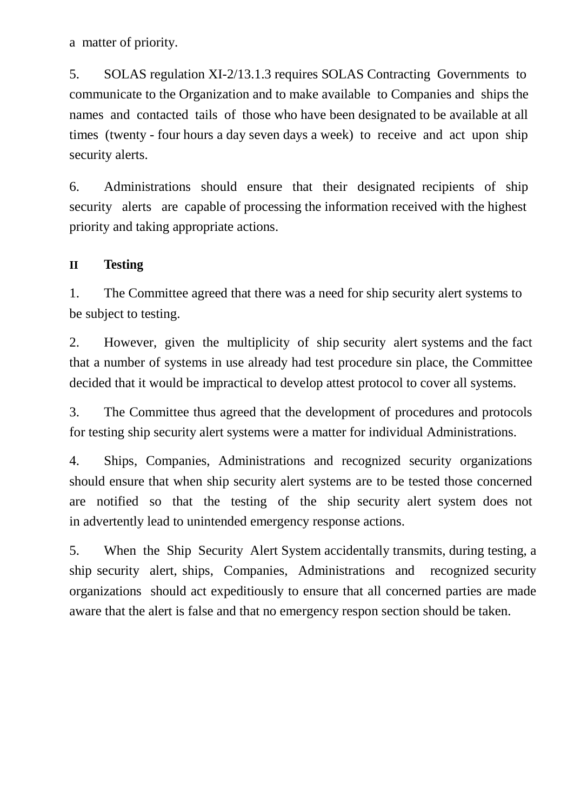a matter of priority.

5. SOLAS regulation XI-2/13.1.3 requires SOLAS Contracting Governments to communicate to the Organization and to make available to Companies and ships the names and contacted tails of those who have been designated to be available at all times (twenty - four hours a day seven days a week) to receive and act upon ship security alerts.

6. Administrations should ensure that their designated recipients of ship security alerts are capable of processing the information received with the highest priority and taking appropriate actions.

#### **II Testing**

1. The Committee agreed that there was a need for ship security alert systems to be subject to testing.

2. However, given the multiplicity of ship security alert systems and the fact that a number of systems in use already had test procedure sin place, the Committee decided that it would be impractical to develop attest protocol to cover all systems.

3. The Committee thus agreed that the development of procedures and protocols for testing ship security alert systems were a matter for individual Administrations.

4. Ships, Companies, Administrations and recognized security organizations should ensure that when ship security alert systems are to be tested those concerned are notified so that the testing of the ship security alert system does not in advertently lead to unintended emergency response actions.

5. When the Ship Security Alert System accidentally transmits, during testing, a ship security alert, ships, Companies, Administrations and recognized security organizations should act expeditiously to ensure that all concerned parties are made aware that the alert is false and that no emergency respon section should be taken.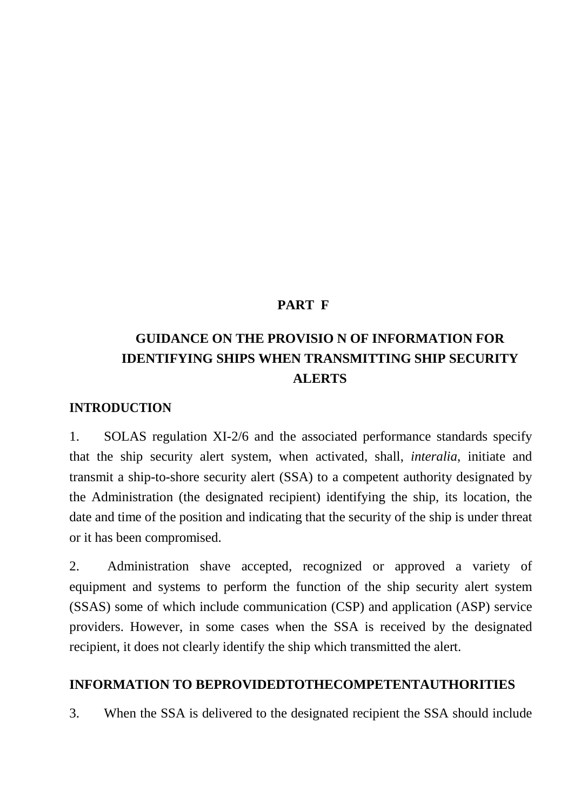#### **PART F**

# **GUIDANCE ON THE PROVISIO N OF INFORMATION FOR IDENTIFYING SHIPS WHEN TRANSMITTING SHIP SECURITY ALERTS**

#### **INTRODUCTION**

1. SOLAS regulation XI-2/6 and the associated performance standards specify that the ship security alert system, when activated, shall, *interalia*, initiate and transmit a ship-to-shore security alert (SSA) to a competent authority designated by the Administration (the designated recipient) identifying the ship, its location, the date and time of the position and indicating that the security of the ship is under threat or it has been compromised.

2. Administration shave accepted, recognized or approved a variety of equipment and systems to perform the function of the ship security alert system (SSAS) some of which include communication (CSP) and application (ASP) service providers. However, in some cases when the SSA is received by the designated recipient, it does not clearly identify the ship which transmitted the alert.

#### **INFORMATION TO BEPROVIDEDTOTHECOMPETENTAUTHORITIES**

3. When the SSA is delivered to the designated recipient the SSA should include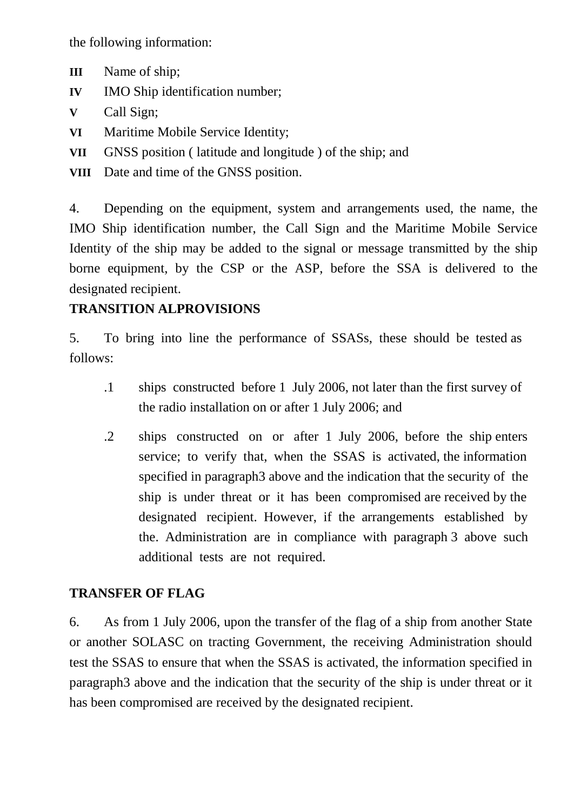the following information:

- **III** Name of ship;
- **IV** IMO Ship identification number:
- **V** Call Sign;
- **VI** Maritime Mobile Service Identity;
- **VII** GNSS position ( latitude and longitude ) of the ship; and
- **VIII** Date and time of the GNSS position.

4. Depending on the equipment, system and arrangements used, the name, the IMO Ship identification number, the Call Sign and the Maritime Mobile Service Identity of the ship may be added to the signal or message transmitted by the ship borne equipment, by the CSP or the ASP, before the SSA is delivered to the designated recipient.

#### **TRANSITION ALPROVISIONS**

5. To bring into line the performance of SSASs, these should be tested as follows:

- .1 ships constructed before 1 July 2006, not later than the first survey of the radio installation on or after 1 July 2006; and
- .2 ships constructed on or after 1 July 2006, before the ship enters service; to verify that, when the SSAS is activated, the information specified in paragraph3 above and the indication that the security of the ship is under threat or it has been compromised are received by the designated recipient. However, if the arrangements established by the. Administration are in compliance with paragraph 3 above such additional tests are not required.

#### **TRANSFER OF FLAG**

6. As from 1 July 2006, upon the transfer of the flag of a ship from another State or another SOLASC on tracting Government, the receiving Administration should test the SSAS to ensure that when the SSAS is activated, the information specified in paragraph3 above and the indication that the security of the ship is under threat or it has been compromised are received by the designated recipient.